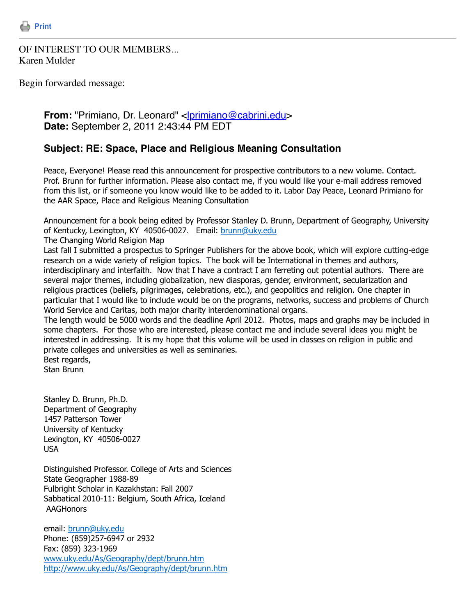

## OF INTEREST TO OUR MEMBERS... Karen Mulder

Begin forwarded message:

## **From:** "Primiano, Dr. Leonard" <**[lprimiano@cabrini.edu](mailto:lprimiano@cabrini.edu)> Date:** September 2, 2011 2:43:44 PM EDT

## **Subject: RE: Space, Place and Religious Meaning Consultation**

Peace, Everyone! Please read this announcement for prospective contributors to a new volume. Contact. Prof. Brunn for further information. Please also contact me, if you would like your e-mail address removed from this list, or if someone you know would like to be added to it. Labor Day Peace, Leonard Primiano for the AAR Space, Place and Religious Meaning Consultation

Announcement for a book being edited by Professor Stanley D. Brunn, Department of Geography, University of Kentucky, Lexington, KY 40506-0027. Email: [brunn@uky.edu](mailto:brunn@uky.edu)

The Changing World Religion Map

Last fall I submitted a prospectus to Springer Publishers for the above book, which will explore cutting-edge research on a wide variety of religion topics. The book will be International in themes and authors, interdisciplinary and interfaith. Now that I have a contract I am ferreting out potential authors. There are several major themes, including globalization, new diasporas, gender, environment, secularization and religious practices (beliefs, pilgrimages, celebrations, etc.), and geopolitics and religion. One chapter in particular that I would like to include would be on the programs, networks, success and problems of Church World Service and Caritas, both major charity interdenominational organs.

The length would be 5000 words and the deadline April 2012. Photos, maps and graphs may be included in some chapters. For those who are interested, please contact me and include several ideas you might be interested in addressing. It is my hope that this volume will be used in classes on religion in public and private colleges and universities as well as seminaries. Best regards,

Stan Brunn

Stanley D. Brunn, Ph.D. Department of Geography 1457 Patterson Tower University of Kentucky Lexington, KY 40506-0027 USA

Distinguished Professor. College of Arts and Sciences State Geographer 1988-89 Fulbright Scholar in Kazakhstan: Fall 2007 Sabbatical 2010-11: Belgium, South Africa, Iceland **AAGHonors** 

email: [brunn@uky.edu](mailto:brunn@uky.edu) Phone: (859)257-6947 or 2932 Fax: (859) 323-1969 [www.uky.edu/As/Geography/dept/brunn.htm](http://www.uky.edu/As/Geography/dept/brunn.htm) <http://www.uky.edu/As/Geography/dept/brunn.htm>